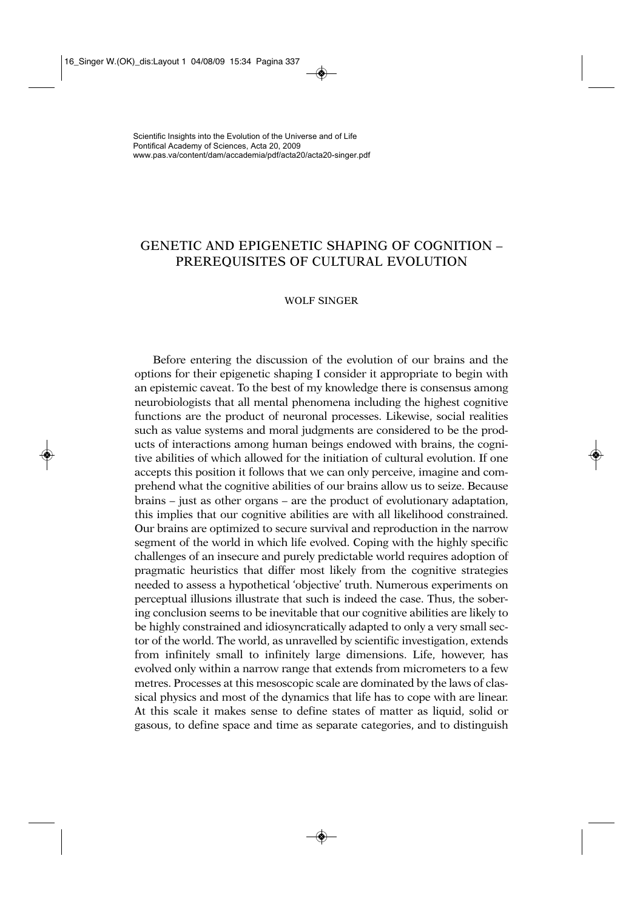# GENETIC AND EPIGENETIC SHAPING OF COGNITION – PREREQUISITES OF CULTURAL EVOLUTION

## WOLF SINGER

Before entering the discussion of the evolution of our brains and the options for their epigenetic shaping I consider it appropriate to begin with an epistemic caveat. To the best of my knowledge there is consensus among neurobiologists that all mental phenomena including the highest cognitive functions are the product of neuronal processes. Likewise, social realities such as value systems and moral judgments are considered to be the products of interactions among human beings endowed with brains, the cognitive abilities of which allowed for the initiation of cultural evolution. If one accepts this position it follows that we can only perceive, imagine and comprehend what the cognitive abilities of our brains allow us to seize. Because brains – just as other organs – are the product of evolutionary adaptation, this implies that our cognitive abilities are with all likelihood constrained. Our brains are optimized to secure survival and reproduction in the narrow segment of the world in which life evolved. Coping with the highly specific challenges of an insecure and purely predictable world requires adoption of pragmatic heuristics that differ most likely from the cognitive strategies needed to assess a hypothetical 'objective' truth. Numerous experiments on perceptual illusions illustrate that such is indeed the case. Thus, the sobering conclusion seems to be inevitable that our cognitive abilities are likely to be highly constrained and idiosyncratically adapted to only a very small sector of the world. The world, as unravelled by scientific investigation, extends from infinitely small to infinitely large dimensions. Life, however, has evolved only within a narrow range that extends from micrometers to a few metres. Processes at this mesoscopic scale are dominated by the laws of classical physics and most of the dynamics that life has to cope with are linear. At this scale it makes sense to define states of matter as liquid, solid or gasous, to define space and time as separate categories, and to distinguish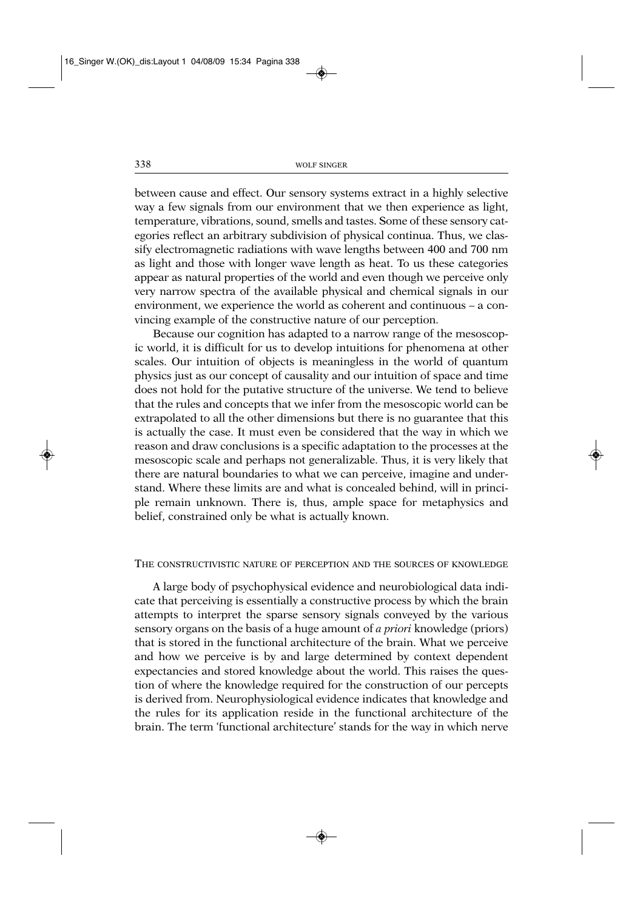between cause and effect. Our sensory systems extract in a highly selective way a few signals from our environment that we then experience as light, temperature, vibrations, sound, smells and tastes. Some of these sensory categories reflect an arbitrary subdivision of physical continua. Thus, we classify electromagnetic radiations with wave lengths between 400 and 700 nm as light and those with longer wave length as heat. To us these categories appear as natural properties of the world and even though we perceive only very narrow spectra of the available physical and chemical signals in our environment, we experience the world as coherent and continuous – a convincing example of the constructive nature of our perception.

Because our cognition has adapted to a narrow range of the mesoscopic world, it is difficult for us to develop intuitions for phenomena at other scales. Our intuition of objects is meaningless in the world of quantum physics just as our concept of causality and our intuition of space and time does not hold for the putative structure of the universe. We tend to believe that the rules and concepts that we infer from the mesoscopic world can be extrapolated to all the other dimensions but there is no guarantee that this is actually the case. It must even be considered that the way in which we reason and draw conclusions is a specific adaptation to the processes at the mesoscopic scale and perhaps not generalizable. Thus, it is very likely that there are natural boundaries to what we can perceive, imagine and understand. Where these limits are and what is concealed behind, will in principle remain unknown. There is, thus, ample space for metaphysics and belief, constrained only be what is actually known.

## THE CONSTRUCTIVISTIC NATURE OF PERCEPTION AND THE SOURCES OF KNOWLEDGE

A large body of psychophysical evidence and neurobiological data indicate that perceiving is essentially a constructive process by which the brain attempts to interpret the sparse sensory signals conveyed by the various sensory organs on the basis of a huge amount of *a priori* knowledge (priors) that is stored in the functional architecture of the brain. What we perceive and how we perceive is by and large determined by context dependent expectancies and stored knowledge about the world. This raises the question of where the knowledge required for the construction of our percepts is derived from. Neurophysiological evidence indicates that knowledge and the rules for its application reside in the functional architecture of the brain. The term 'functional architecture' stands for the way in which nerve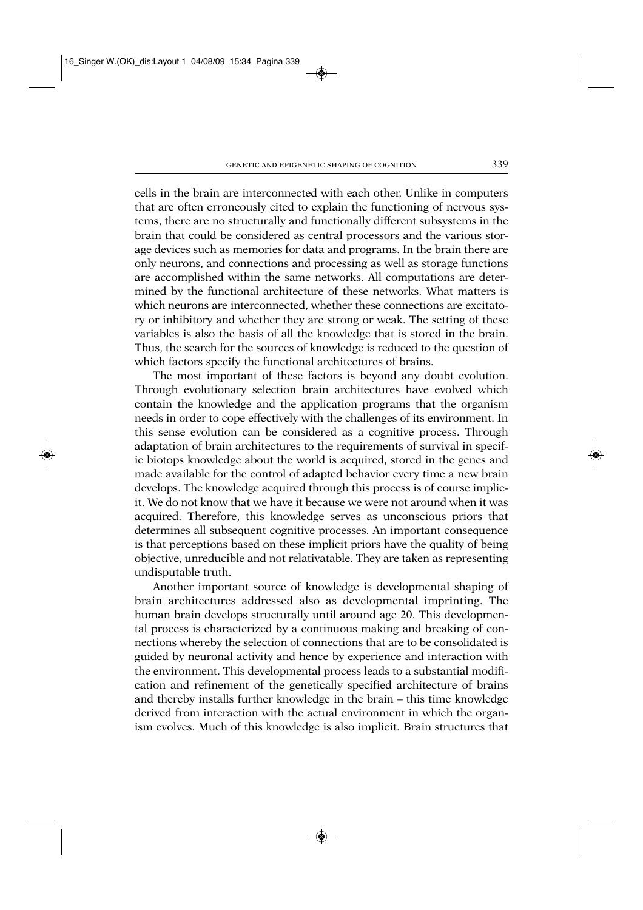cells in the brain are interconnected with each other. Unlike in computers that are often erroneously cited to explain the functioning of nervous systems, there are no structurally and functionally different subsystems in the brain that could be considered as central processors and the various storage devices such as memories for data and programs. In the brain there are only neurons, and connections and processing as well as storage functions are accomplished within the same networks. All computations are determined by the functional architecture of these networks. What matters is which neurons are interconnected, whether these connections are excitatory or inhibitory and whether they are strong or weak. The setting of these variables is also the basis of all the knowledge that is stored in the brain. Thus, the search for the sources of knowledge is reduced to the question of which factors specify the functional architectures of brains.

The most important of these factors is beyond any doubt evolution. Through evolutionary selection brain architectures have evolved which contain the knowledge and the application programs that the organism needs in order to cope effectively with the challenges of its environment. In this sense evolution can be considered as a cognitive process. Through adaptation of brain architectures to the requirements of survival in specific biotops knowledge about the world is acquired, stored in the genes and made available for the control of adapted behavior every time a new brain develops. The knowledge acquired through this process is of course implicit. We do not know that we have it because we were not around when it was acquired. Therefore, this knowledge serves as unconscious priors that determines all subsequent cognitive processes. An important consequence is that perceptions based on these implicit priors have the quality of being objective, unreducible and not relativatable. They are taken as representing undisputable truth.

Another important source of knowledge is developmental shaping of brain architectures addressed also as developmental imprinting. The human brain develops structurally until around age 20. This developmental process is characterized by a continuous making and breaking of connections whereby the selection of connections that are to be consolidated is guided by neuronal activity and hence by experience and interaction with the environment. This developmental process leads to a substantial modification and refinement of the genetically specified architecture of brains and thereby installs further knowledge in the brain – this time knowledge derived from interaction with the actual environment in which the organism evolves. Much of this knowledge is also implicit. Brain structures that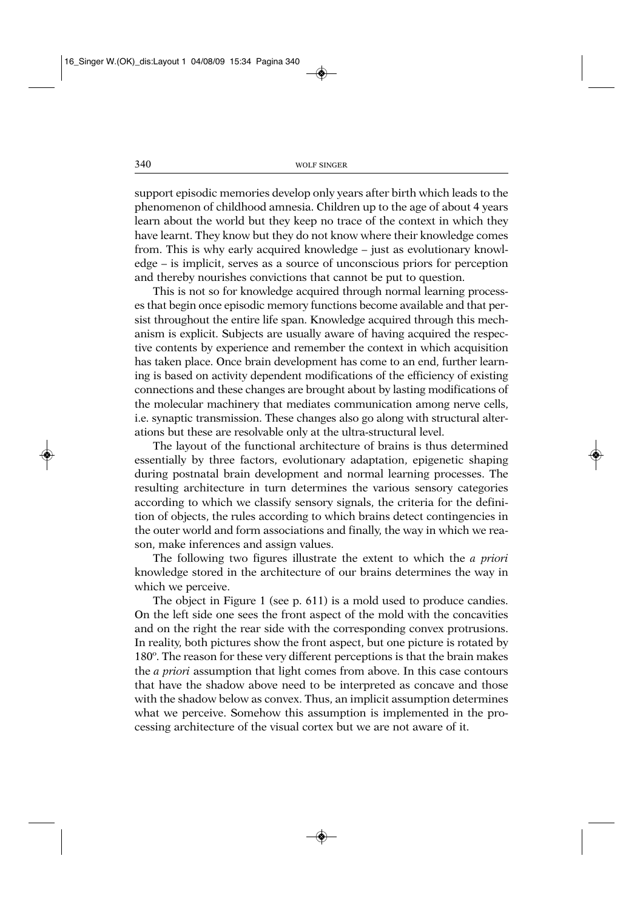support episodic memories develop only years after birth which leads to the phenomenon of childhood amnesia. Children up to the age of about 4 years learn about the world but they keep no trace of the context in which they have learnt. They know but they do not know where their knowledge comes from. This is why early acquired knowledge – just as evolutionary knowledge – is implicit, serves as a source of unconscious priors for perception and thereby nourishes convictions that cannot be put to question.

This is not so for knowledge acquired through normal learning processes that begin once episodic memory functions become available and that persist throughout the entire life span. Knowledge acquired through this mechanism is explicit. Subjects are usually aware of having acquired the respective contents by experience and remember the context in which acquisition has taken place. Once brain development has come to an end, further learning is based on activity dependent modifications of the efficiency of existing connections and these changes are brought about by lasting modifications of the molecular machinery that mediates communication among nerve cells, i.e. synaptic transmission. These changes also go along with structural alterations but these are resolvable only at the ultra-structural level.

The layout of the functional architecture of brains is thus determined essentially by three factors, evolutionary adaptation, epigenetic shaping during postnatal brain development and normal learning processes. The resulting architecture in turn determines the various sensory categories according to which we classify sensory signals, the criteria for the definition of objects, the rules according to which brains detect contingencies in the outer world and form associations and finally, the way in which we reason, make inferences and assign values.

The following two figures illustrate the extent to which the *a priori* knowledge stored in the architecture of our brains determines the way in which we perceive.

The object in Figure 1 (see p. 611) is a mold used to produce candies. On the left side one sees the front aspect of the mold with the concavities and on the right the rear side with the corresponding convex protrusions. In reality, both pictures show the front aspect, but one picture is rotated by 180º. The reason for these very different perceptions is that the brain makes the *a priori* assumption that light comes from above. In this case contours that have the shadow above need to be interpreted as concave and those with the shadow below as convex. Thus, an implicit assumption determines what we perceive. Somehow this assumption is implemented in the processing architecture of the visual cortex but we are not aware of it.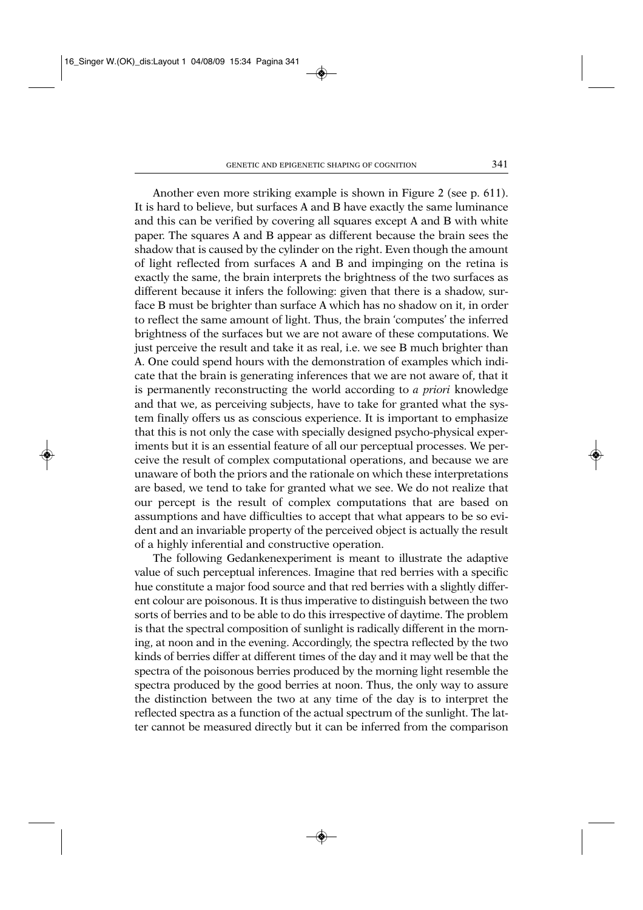Another even more striking example is shown in Figure 2 (see p. 611). It is hard to believe, but surfaces A and B have exactly the same luminance and this can be verified by covering all squares except A and B with white paper. The squares A and B appear as different because the brain sees the shadow that is caused by the cylinder on the right. Even though the amount of light reflected from surfaces A and B and impinging on the retina is exactly the same, the brain interprets the brightness of the two surfaces as different because it infers the following: given that there is a shadow, surface B must be brighter than surface A which has no shadow on it, in order to reflect the same amount of light. Thus, the brain 'computes' the inferred brightness of the surfaces but we are not aware of these computations. We just perceive the result and take it as real, i.e. we see B much brighter than A. One could spend hours with the demonstration of examples which indicate that the brain is generating inferences that we are not aware of, that it is permanently reconstructing the world according to *a priori* knowledge and that we, as perceiving subjects, have to take for granted what the system finally offers us as conscious experience. It is important to emphasize that this is not only the case with specially designed psycho-physical experiments but it is an essential feature of all our perceptual processes. We perceive the result of complex computational operations, and because we are unaware of both the priors and the rationale on which these interpretations are based, we tend to take for granted what we see. We do not realize that our percept is the result of complex computations that are based on assumptions and have difficulties to accept that what appears to be so evident and an invariable property of the perceived object is actually the result of a highly inferential and constructive operation.

The following Gedankenexperiment is meant to illustrate the adaptive value of such perceptual inferences. Imagine that red berries with a specific hue constitute a major food source and that red berries with a slightly different colour are poisonous. It is thus imperative to distinguish between the two sorts of berries and to be able to do this irrespective of daytime. The problem is that the spectral composition of sunlight is radically different in the morning, at noon and in the evening. Accordingly, the spectra reflected by the two kinds of berries differ at different times of the day and it may well be that the spectra of the poisonous berries produced by the morning light resemble the spectra produced by the good berries at noon. Thus, the only way to assure the distinction between the two at any time of the day is to interpret the reflected spectra as a function of the actual spectrum of the sunlight. The latter cannot be measured directly but it can be inferred from the comparison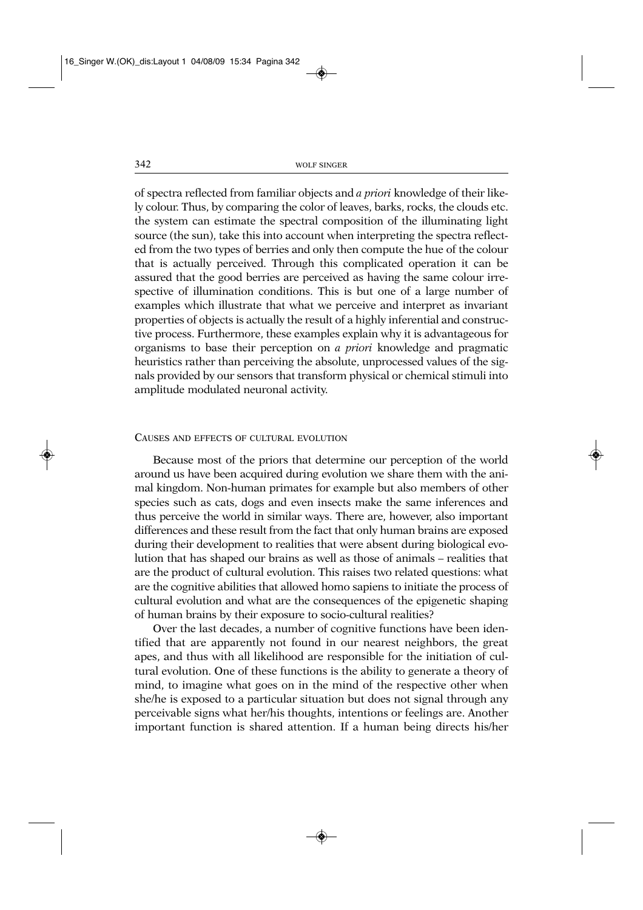of spectra reflected from familiar objects and *a priori* knowledge of their likely colour. Thus, by comparing the color of leaves, barks, rocks, the clouds etc. the system can estimate the spectral composition of the illuminating light source (the sun), take this into account when interpreting the spectra reflected from the two types of berries and only then compute the hue of the colour that is actually perceived. Through this complicated operation it can be assured that the good berries are perceived as having the same colour irrespective of illumination conditions. This is but one of a large number of examples which illustrate that what we perceive and interpret as invariant properties of objects is actually the result of a highly inferential and constructive process. Furthermore, these examples explain why it is advantageous for organisms to base their perception on *a priori* knowledge and pragmatic heuristics rather than perceiving the absolute, unprocessed values of the signals provided by our sensors that transform physical or chemical stimuli into amplitude modulated neuronal activity.

#### CAUSES AND EFFECTS OF CULTURAL EVOLUTION

Because most of the priors that determine our perception of the world around us have been acquired during evolution we share them with the animal kingdom. Non-human primates for example but also members of other species such as cats, dogs and even insects make the same inferences and thus perceive the world in similar ways. There are, however, also important differences and these result from the fact that only human brains are exposed during their development to realities that were absent during biological evolution that has shaped our brains as well as those of animals – realities that are the product of cultural evolution. This raises two related questions: what are the cognitive abilities that allowed homo sapiens to initiate the process of cultural evolution and what are the consequences of the epigenetic shaping of human brains by their exposure to socio-cultural realities?

Over the last decades, a number of cognitive functions have been identified that are apparently not found in our nearest neighbors, the great apes, and thus with all likelihood are responsible for the initiation of cultural evolution. One of these functions is the ability to generate a theory of mind, to imagine what goes on in the mind of the respective other when she/he is exposed to a particular situation but does not signal through any perceivable signs what her/his thoughts, intentions or feelings are. Another important function is shared attention. If a human being directs his/her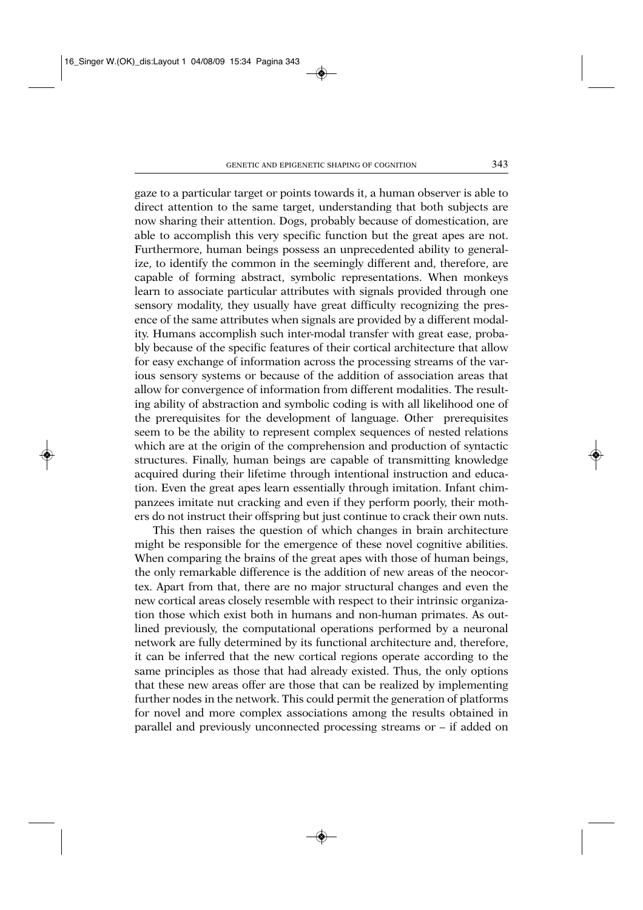gaze to a particular target or points towards it, a human observer is able to direct attention to the same target, understanding that both subjects are now sharing their attention. Dogs, probably because of domestication, are able to accomplish this very specific function but the great apes are not. Furthermore, human beings possess an unprecedented ability to generalize, to identify the common in the seemingly different and, therefore, are capable of forming abstract, symbolic representations. When monkeys learn to associate particular attributes with signals provided through one sensory modality, they usually have great difficulty recognizing the presence of the same attributes when signals are provided by a different modality. Humans accomplish such inter-modal transfer with great ease, probably because of the specific features of their cortical architecture that allow for easy exchange of information across the processing streams of the various sensory systems or because of the addition of association areas that allow for convergence of information from different modalities. The resulting ability of abstraction and symbolic coding is with all likelihood one of the prerequisites for the development of language. Other prerequisites seem to be the ability to represent complex sequences of nested relations which are at the origin of the comprehension and production of syntactic structures. Finally, human beings are capable of transmitting knowledge acquired during their lifetime through intentional instruction and education. Even the great apes learn essentially through imitation. Infant chimpanzees imitate nut cracking and even if they perform poorly, their mothers do not instruct their offspring but just continue to crack their own nuts.

This then raises the question of which changes in brain architecture might be responsible for the emergence of these novel cognitive abilities. When comparing the brains of the great apes with those of human beings, the only remarkable difference is the addition of new areas of the neocortex. Apart from that, there are no major structural changes and even the new cortical areas closely resemble with respect to their intrinsic organization those which exist both in humans and non-human primates. As outlined previously, the computational operations performed by a neuronal network are fully determined by its functional architecture and, therefore, it can be inferred that the new cortical regions operate according to the same principles as those that had already existed. Thus, the only options that these new areas offer are those that can be realized by implementing further nodes in the network. This could permit the generation of platforms for novel and more complex associations among the results obtained in parallel and previously unconnected processing streams or – if added on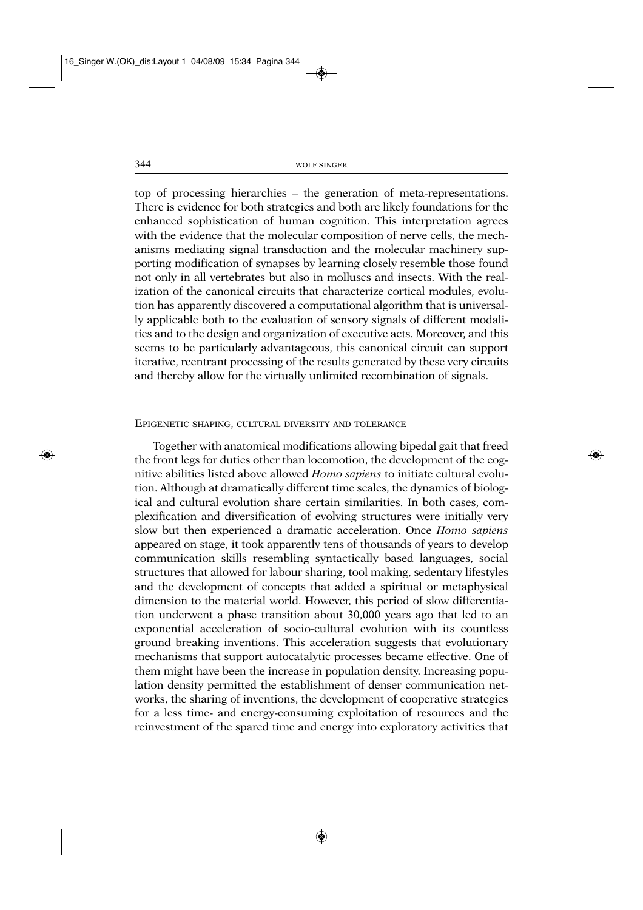top of processing hierarchies – the generation of meta-representations. There is evidence for both strategies and both are likely foundations for the enhanced sophistication of human cognition. This interpretation agrees with the evidence that the molecular composition of nerve cells, the mechanisms mediating signal transduction and the molecular machinery supporting modification of synapses by learning closely resemble those found not only in all vertebrates but also in molluscs and insects. With the realization of the canonical circuits that characterize cortical modules, evolution has apparently discovered a computational algorithm that is universally applicable both to the evaluation of sensory signals of different modalities and to the design and organization of executive acts. Moreover, and this seems to be particularly advantageous, this canonical circuit can support iterative, reentrant processing of the results generated by these very circuits and thereby allow for the virtually unlimited recombination of signals.

### EPIGENETIC SHAPING, CULTURAL DIVERSITY AND TOLERANCE

Together with anatomical modifications allowing bipedal gait that freed the front legs for duties other than locomotion, the development of the cognitive abilities listed above allowed *Homo sapiens* to initiate cultural evolution. Although at dramatically different time scales, the dynamics of biological and cultural evolution share certain similarities. In both cases, complexification and diversification of evolving structures were initially very slow but then experienced a dramatic acceleration. Once *Homo sapiens* appeared on stage, it took apparently tens of thousands of years to develop communication skills resembling syntactically based languages, social structures that allowed for labour sharing, tool making, sedentary lifestyles and the development of concepts that added a spiritual or metaphysical dimension to the material world. However, this period of slow differentiation underwent a phase transition about 30,000 years ago that led to an exponential acceleration of socio-cultural evolution with its countless ground breaking inventions. This acceleration suggests that evolutionary mechanisms that support autocatalytic processes became effective. One of them might have been the increase in population density. Increasing population density permitted the establishment of denser communication networks, the sharing of inventions, the development of cooperative strategies for a less time- and energy-consuming exploitation of resources and the reinvestment of the spared time and energy into exploratory activities that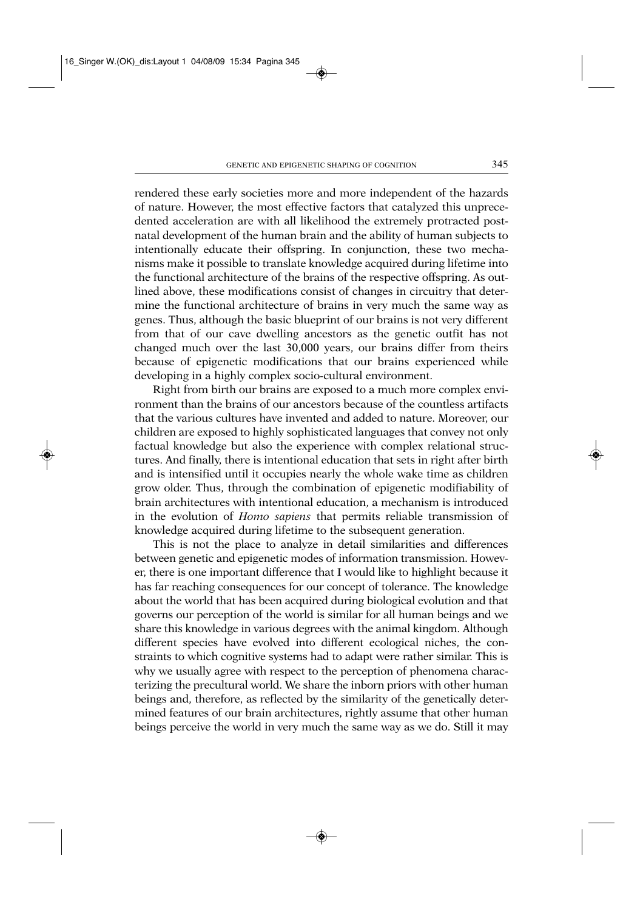rendered these early societies more and more independent of the hazards of nature. However, the most effective factors that catalyzed this unprecedented acceleration are with all likelihood the extremely protracted postnatal development of the human brain and the ability of human subjects to intentionally educate their offspring. In conjunction, these two mechanisms make it possible to translate knowledge acquired during lifetime into the functional architecture of the brains of the respective offspring. As outlined above, these modifications consist of changes in circuitry that determine the functional architecture of brains in very much the same way as genes. Thus, although the basic blueprint of our brains is not very different from that of our cave dwelling ancestors as the genetic outfit has not changed much over the last 30,000 years, our brains differ from theirs because of epigenetic modifications that our brains experienced while developing in a highly complex socio-cultural environment.

Right from birth our brains are exposed to a much more complex environment than the brains of our ancestors because of the countless artifacts that the various cultures have invented and added to nature. Moreover, our children are exposed to highly sophisticated languages that convey not only factual knowledge but also the experience with complex relational structures. And finally, there is intentional education that sets in right after birth and is intensified until it occupies nearly the whole wake time as children grow older. Thus, through the combination of epigenetic modifiability of brain architectures with intentional education, a mechanism is introduced in the evolution of *Homo sapiens* that permits reliable transmission of knowledge acquired during lifetime to the subsequent generation.

This is not the place to analyze in detail similarities and differences between genetic and epigenetic modes of information transmission. However, there is one important difference that I would like to highlight because it has far reaching consequences for our concept of tolerance. The knowledge about the world that has been acquired during biological evolution and that governs our perception of the world is similar for all human beings and we share this knowledge in various degrees with the animal kingdom. Although different species have evolved into different ecological niches, the constraints to which cognitive systems had to adapt were rather similar. This is why we usually agree with respect to the perception of phenomena characterizing the precultural world. We share the inborn priors with other human beings and, therefore, as reflected by the similarity of the genetically determined features of our brain architectures, rightly assume that other human beings perceive the world in very much the same way as we do. Still it may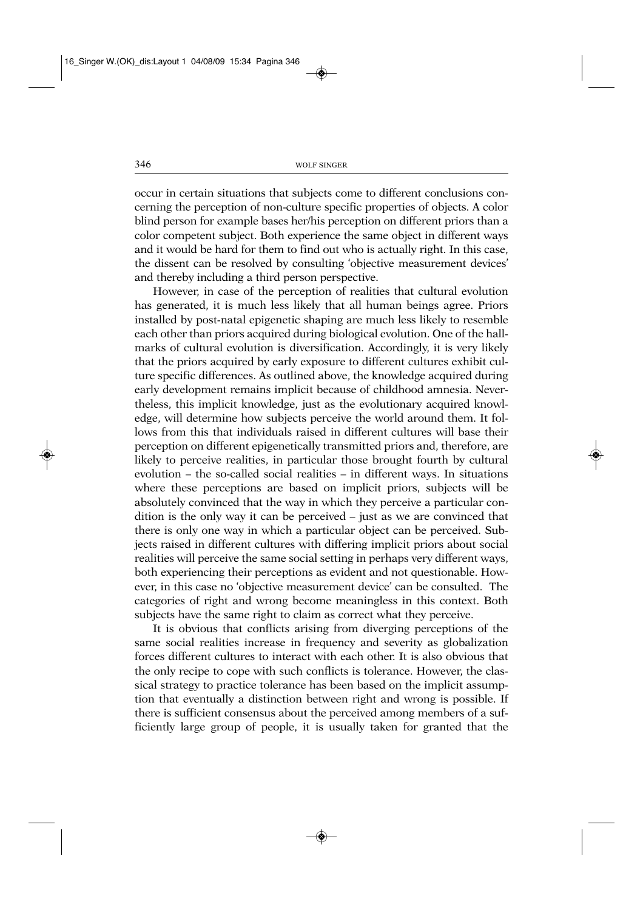occur in certain situations that subjects come to different conclusions concerning the perception of non-culture specific properties of objects. A color blind person for example bases her/his perception on different priors than a color competent subject. Both experience the same object in different ways and it would be hard for them to find out who is actually right. In this case, the dissent can be resolved by consulting 'objective measurement devices' and thereby including a third person perspective.

However, in case of the perception of realities that cultural evolution has generated, it is much less likely that all human beings agree. Priors installed by post-natal epigenetic shaping are much less likely to resemble each other than priors acquired during biological evolution. One of the hallmarks of cultural evolution is diversification. Accordingly, it is very likely that the priors acquired by early exposure to different cultures exhibit culture specific differences. As outlined above, the knowledge acquired during early development remains implicit because of childhood amnesia. Nevertheless, this implicit knowledge, just as the evolutionary acquired knowledge, will determine how subjects perceive the world around them. It follows from this that individuals raised in different cultures will base their perception on different epigenetically transmitted priors and, therefore, are likely to perceive realities, in particular those brought fourth by cultural evolution – the so-called social realities – in different ways. In situations where these perceptions are based on implicit priors, subjects will be absolutely convinced that the way in which they perceive a particular condition is the only way it can be perceived – just as we are convinced that there is only one way in which a particular object can be perceived. Subjects raised in different cultures with differing implicit priors about social realities will perceive the same social setting in perhaps very different ways, both experiencing their perceptions as evident and not questionable. However, in this case no 'objective measurement device' can be consulted. The categories of right and wrong become meaningless in this context. Both subjects have the same right to claim as correct what they perceive.

It is obvious that conflicts arising from diverging perceptions of the same social realities increase in frequency and severity as globalization forces different cultures to interact with each other. It is also obvious that the only recipe to cope with such conflicts is tolerance. However, the classical strategy to practice tolerance has been based on the implicit assumption that eventually a distinction between right and wrong is possible. If there is sufficient consensus about the perceived among members of a sufficiently large group of people, it is usually taken for granted that the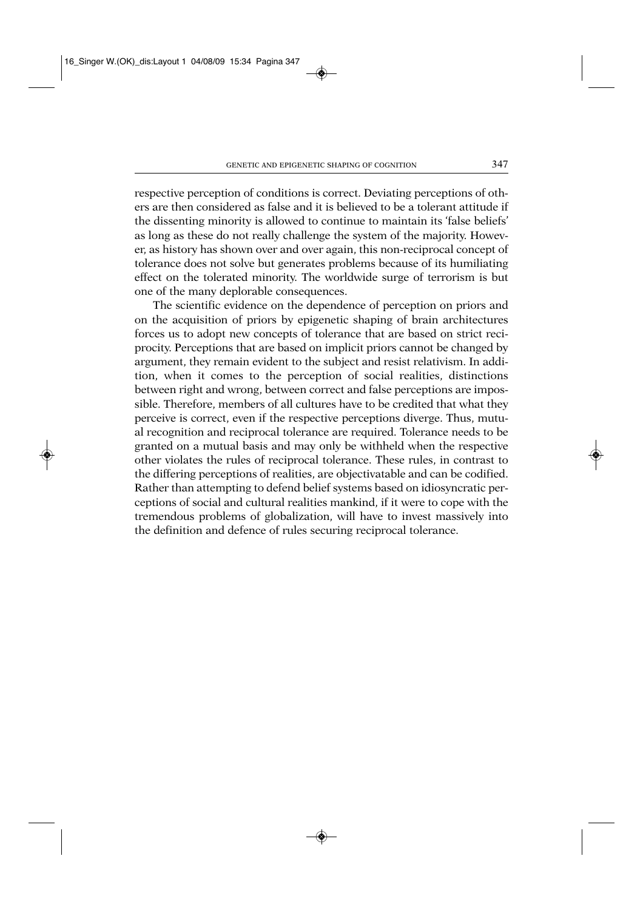respective perception of conditions is correct. Deviating perceptions of others are then considered as false and it is believed to be a tolerant attitude if the dissenting minority is allowed to continue to maintain its 'false beliefs' as long as these do not really challenge the system of the majority. However, as history has shown over and over again, this non-reciprocal concept of tolerance does not solve but generates problems because of its humiliating effect on the tolerated minority. The worldwide surge of terrorism is but one of the many deplorable consequences.

The scientific evidence on the dependence of perception on priors and on the acquisition of priors by epigenetic shaping of brain architectures forces us to adopt new concepts of tolerance that are based on strict reciprocity. Perceptions that are based on implicit priors cannot be changed by argument, they remain evident to the subject and resist relativism. In addition, when it comes to the perception of social realities, distinctions between right and wrong, between correct and false perceptions are impossible. Therefore, members of all cultures have to be credited that what they perceive is correct, even if the respective perceptions diverge. Thus, mutual recognition and reciprocal tolerance are required. Tolerance needs to be granted on a mutual basis and may only be withheld when the respective other violates the rules of reciprocal tolerance. These rules, in contrast to the differing perceptions of realities, are objectivatable and can be codified. Rather than attempting to defend belief systems based on idiosyncratic perceptions of social and cultural realities mankind, if it were to cope with the tremendous problems of globalization, will have to invest massively into the definition and defence of rules securing reciprocal tolerance.